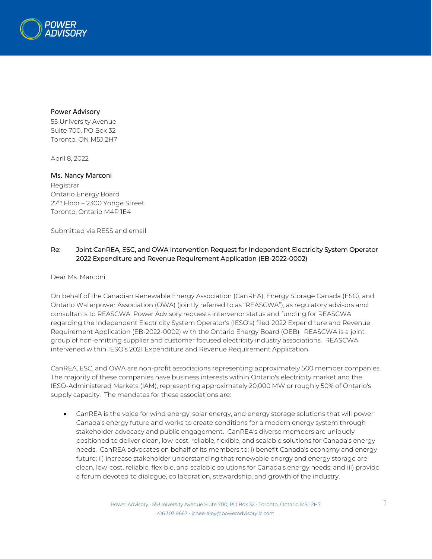

## Power Advisory

55 University Avenue Suite 700, PO Box 32 Toronto, ON M5J 2H7

April 8, 2022

## Ms. Nancy Marconi Registrar

Ontario Energy Board 27th Floor – 2300 Yonge Street Toronto, Ontario M4P 1E4

Submitted via RESS and email

## Re: Joint CanREA, ESC, and OWA Intervention Request for Independent Electricity System Operator 2022 Expenditure and Revenue Requirement Application (EB-2022-0002)

Dear Ms. Marconi

On behalf of the Canadian Renewable Energy Association (CanREA), Energy Storage Canada (ESC), and Ontario Waterpower Association (OWA) (jointly referred to as "REASCWA"), as regulatory advisors and consultants to REASCWA, Power Advisory requests intervenor status and funding for REASCWA regarding the Independent Electricity System Operator's (IESO's) filed 2022 Expenditure and Revenue Requirement Application (EB-2022-0002) with the Ontario Energy Board (OEB). REASCWA is a joint group of non-emitting supplier and customer focused electricity industry associations. REASCWA intervened within IESO's 2021 Expenditure and Revenue Requirement Application.

CanREA, ESC, and OWA are non-profit associations representing approximately 500 member companies. The majority of these companies have business interests within Ontario's electricity market and the IESO-Administered Markets (IAM), representing approximately 20,000 MW or roughly 50% of Ontario's supply capacity. The mandates for these associations are:

• CanREA is the voice for wind energy, solar energy, and energy storage solutions that will power Canada's energy future and works to create conditions for a modern energy system through stakeholder advocacy and public engagement. CanREA's diverse members are uniquely positioned to deliver clean, low-cost, reliable, flexible, and scalable solutions for Canada's energy needs. CanREA advocates on behalf of its members to: i) benefit Canada's economy and energy future; ii) increase stakeholder understanding that renewable energy and energy storage are clean, low-cost, reliable, flexible, and scalable solutions for Canada's energy needs; and iii) provide a forum devoted to dialogue, collaboration, stewardship, and growth of the industry.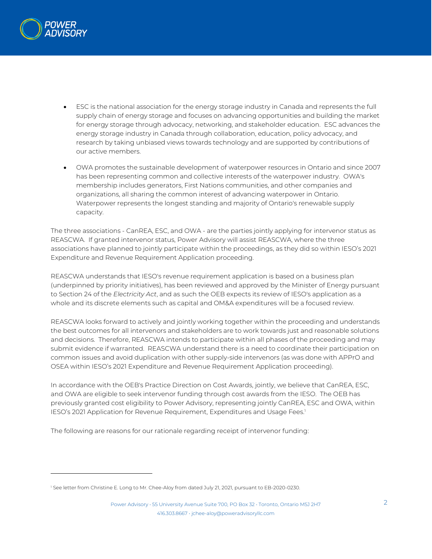

- ESC is the national association for the energy storage industry in Canada and represents the full supply chain of energy storage and focuses on advancing opportunities and building the market for energy storage through advocacy, networking, and stakeholder education. ESC advances the energy storage industry in Canada through collaboration, education, policy advocacy, and research by taking unbiased views towards technology and are supported by contributions of our active members.
- OWA promotes the sustainable development of waterpower resources in Ontario and since 2007 has been representing common and collective interests of the waterpower industry. OWA's membership includes generators, First Nations communities, and other companies and organizations, all sharing the common interest of advancing waterpower in Ontario. Waterpower represents the longest standing and majority of Ontario's renewable supply capacity.

The three associations - CanREA, ESC, and OWA - are the parties jointly applying for intervenor status as REASCWA. If granted intervenor status, Power Advisory will assist REASCWA, where the three associations have planned to jointly participate within the proceedings, as they did so within IESO's 2021 Expenditure and Revenue Requirement Application proceeding.

REASCWA understands that IESO's revenue requirement application is based on a business plan (underpinned by priority initiatives), has been reviewed and approved by the Minister of Energy pursuant to Section 24 of the *Electricity Act*, and as such the OEB expects its review of IESO's application as a whole and its discrete elements such as capital and OM&A expenditures will be a focused review.

REASCWA looks forward to actively and jointly working together within the proceeding and understands the best outcomes for all intervenors and stakeholders are to work towards just and reasonable solutions and decisions. Therefore, REASCWA intends to participate within all phases of the proceeding and may submit evidence if warranted. REASCWA understand there is a need to coordinate their participation on common issues and avoid duplication with other supply-side intervenors (as was done with APPrO and OSEA within IESO's 2021 Expenditure and Revenue Requirement Application proceeding).

In accordance with the OEB's Practice Direction on Cost Awards, jointly, we believe that CanREA, ESC, and OWA are eligible to seek intervenor funding through cost awards from the IESO. The OEB has previously granted cost eligibility to Power Advisory, representing jointly CanREA, ESC and OWA, within IESO's 2021 Application for Revenue Requirement, Expenditures and Usage Fees.<sup>1</sup>

The following are reasons for our rationale regarding receipt of intervenor funding:

<sup>&</sup>lt;sup>1</sup> See letter from Christine E. Long to Mr. Chee-Aloy from dated July 21, 2021, pursuant to EB-2020-0230.

Power Advisory • 55 University Avenue Suite 700, PO Box 32 • Toronto, Ontario M5J 2H7 416.303.8667 • jchee-aloy@poweradvisoryllc.com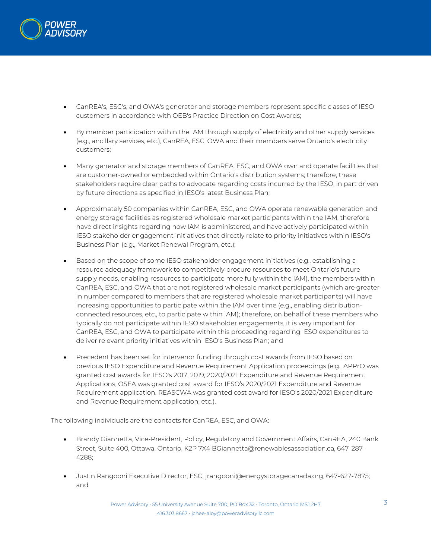

- CanREA's, ESC's, and OWA's generator and storage members represent specific classes of IESO customers in accordance with OEB's Practice Direction on Cost Awards;
- By member participation within the IAM through supply of electricity and other supply services (e.g., ancillary services, etc.), CanREA, ESC, OWA and their members serve Ontario's electricity customers;
- Many generator and storage members of CanREA, ESC, and OWA own and operate facilities that are customer-owned or embedded within Ontario's distribution systems; therefore, these stakeholders require clear paths to advocate regarding costs incurred by the IESO, in part driven by future directions as specified in IESO's latest Business Plan;
- Approximately 50 companies within CanREA, ESC, and OWA operate renewable generation and energy storage facilities as registered wholesale market participants within the IAM, therefore have direct insights regarding how IAM is administered, and have actively participated within IESO stakeholder engagement initiatives that directly relate to priority initiatives within IESO's Business Plan (e.g., Market Renewal Program, etc.);
- Based on the scope of some IESO stakeholder engagement initiatives (e.g., establishing a resource adequacy framework to competitively procure resources to meet Ontario's future supply needs, enabling resources to participate more fully within the IAM), the members within CanREA, ESC, and OWA that are not registered wholesale market participants (which are greater in number compared to members that are registered wholesale market participants) will have increasing opportunities to participate within the IAM over time (e.g., enabling distributionconnected resources, etc., to participate within IAM); therefore, on behalf of these members who typically do not participate within IESO stakeholder engagements, it is very important for CanREA, ESC, and OWA to participate within this proceeding regarding IESO expenditures to deliver relevant priority initiatives within IESO's Business Plan; and
- Precedent has been set for intervenor funding through cost awards from IESO based on previous IESO Expenditure and Revenue Requirement Application proceedings (e.g., APPrO was granted cost awards for IESO's 2017, 2019, 2020/2021 Expenditure and Revenue Requirement Applications, OSEA was granted cost award for IESO's 2020/2021 Expenditure and Revenue Requirement application, REASCWA was granted cost award for IESO's 2020/2021 Expenditure and Revenue Requirement application, etc.).

The following individuals are the contacts for CanREA, ESC, and OWA:

- Brandy Giannetta, Vice-President, Policy, Regulatory and Government Affairs, CanREA, 240 Bank Street, Suite 400, Ottawa, Ontario, K2P 7X4 BGiannetta@renewablesassociation.ca, 647-287- 4288;
- Justin Rangooni Executive Director, ESC, jrangooni@energystoragecanada.org, 647-627-7875; and